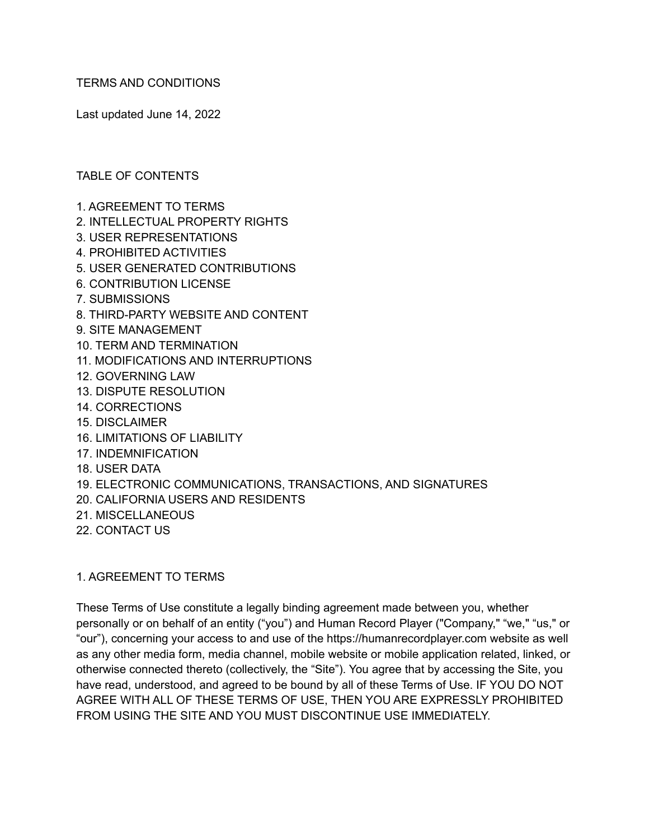TERMS AND CONDITIONS

Last updated June 14, 2022

TABLE OF CONTENTS

- 1. AGREEMENT TO TERMS
- 2. INTELLECTUAL PROPERTY RIGHTS
- 3. USER REPRESENTATIONS
- 4. PROHIBITED ACTIVITIES
- 5. USER GENERATED CONTRIBUTIONS
- 6. CONTRIBUTION LICENSE
- 7. SUBMISSIONS
- 8. THIRD-PARTY WEBSITE AND CONTENT
- 9. SITE MANAGEMENT
- 10. TERM AND TERMINATION
- 11. MODIFICATIONS AND INTERRUPTIONS
- 12. GOVERNING LAW
- 13. DISPUTE RESOLUTION
- 14. CORRECTIONS
- 15. DISCLAIMER
- 16. LIMITATIONS OF LIABILITY
- 17. INDEMNIFICATION
- 18. USER DATA
- 19. ELECTRONIC COMMUNICATIONS, TRANSACTIONS, AND SIGNATURES
- 20. CALIFORNIA USERS AND RESIDENTS
- 21. MISCELLANEOUS
- 22. CONTACT US

#### 1. AGREEMENT TO TERMS

These Terms of Use constitute a legally binding agreement made between you, whether personally or on behalf of an entity ("you") and Human Record Player ("Company," "we," "us," or "our"), concerning your access to and use of the https://humanrecordplayer.com website as well as any other media form, media channel, mobile website or mobile application related, linked, or otherwise connected thereto (collectively, the "Site"). You agree that by accessing the Site, you have read, understood, and agreed to be bound by all of these Terms of Use. IF YOU DO NOT AGREE WITH ALL OF THESE TERMS OF USE, THEN YOU ARE EXPRESSLY PROHIBITED FROM USING THE SITE AND YOU MUST DISCONTINUE USE IMMEDIATELY.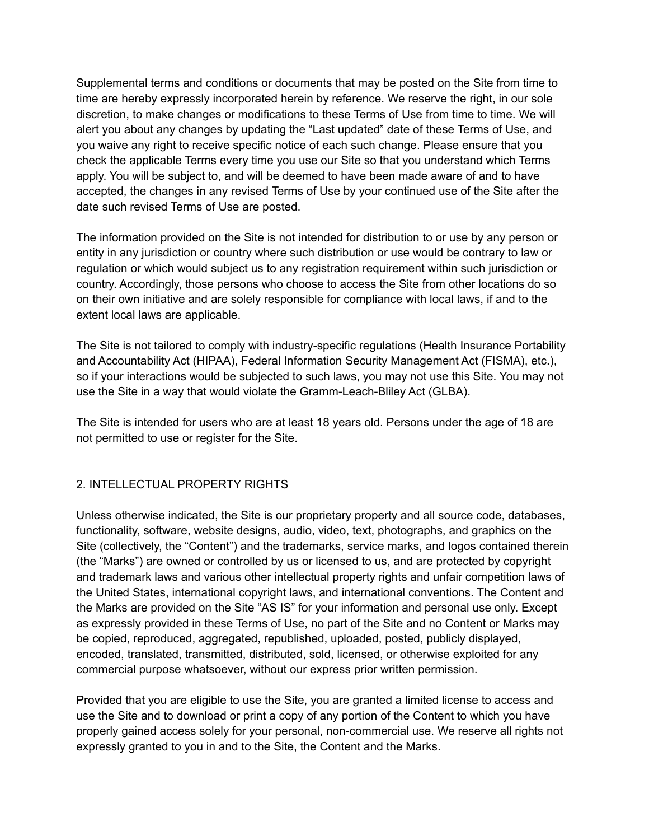Supplemental terms and conditions or documents that may be posted on the Site from time to time are hereby expressly incorporated herein by reference. We reserve the right, in our sole discretion, to make changes or modifications to these Terms of Use from time to time. We will alert you about any changes by updating the "Last updated" date of these Terms of Use, and you waive any right to receive specific notice of each such change. Please ensure that you check the applicable Terms every time you use our Site so that you understand which Terms apply. You will be subject to, and will be deemed to have been made aware of and to have accepted, the changes in any revised Terms of Use by your continued use of the Site after the date such revised Terms of Use are posted.

The information provided on the Site is not intended for distribution to or use by any person or entity in any jurisdiction or country where such distribution or use would be contrary to law or regulation or which would subject us to any registration requirement within such jurisdiction or country. Accordingly, those persons who choose to access the Site from other locations do so on their own initiative and are solely responsible for compliance with local laws, if and to the extent local laws are applicable.

The Site is not tailored to comply with industry-specific regulations (Health Insurance Portability and Accountability Act (HIPAA), Federal Information Security Management Act (FISMA), etc.), so if your interactions would be subjected to such laws, you may not use this Site. You may not use the Site in a way that would violate the Gramm-Leach-Bliley Act (GLBA).

The Site is intended for users who are at least 18 years old. Persons under the age of 18 are not permitted to use or register for the Site.

### 2. INTELLECTUAL PROPERTY RIGHTS

Unless otherwise indicated, the Site is our proprietary property and all source code, databases, functionality, software, website designs, audio, video, text, photographs, and graphics on the Site (collectively, the "Content") and the trademarks, service marks, and logos contained therein (the "Marks") are owned or controlled by us or licensed to us, and are protected by copyright and trademark laws and various other intellectual property rights and unfair competition laws of the United States, international copyright laws, and international conventions. The Content and the Marks are provided on the Site "AS IS" for your information and personal use only. Except as expressly provided in these Terms of Use, no part of the Site and no Content or Marks may be copied, reproduced, aggregated, republished, uploaded, posted, publicly displayed, encoded, translated, transmitted, distributed, sold, licensed, or otherwise exploited for any commercial purpose whatsoever, without our express prior written permission.

Provided that you are eligible to use the Site, you are granted a limited license to access and use the Site and to download or print a copy of any portion of the Content to which you have properly gained access solely for your personal, non-commercial use. We reserve all rights not expressly granted to you in and to the Site, the Content and the Marks.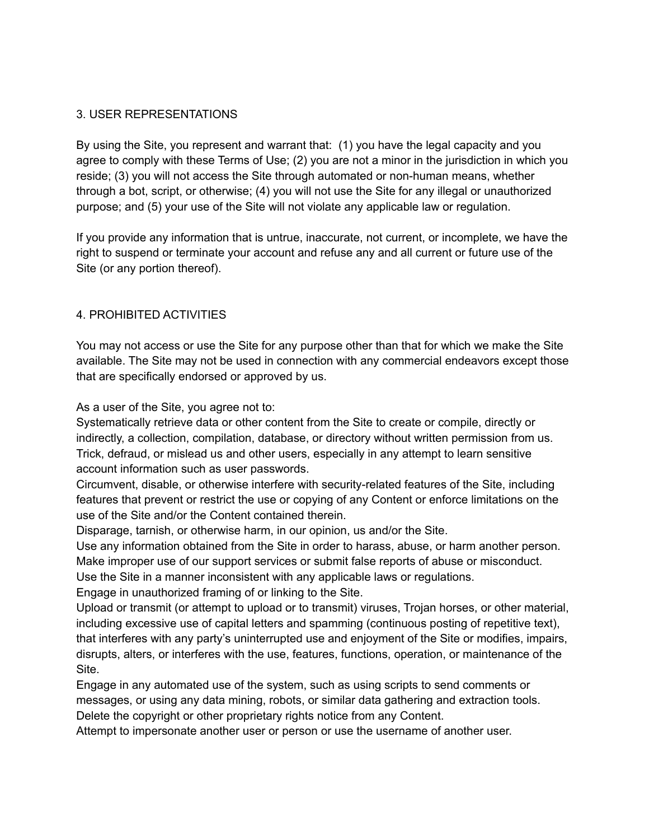### 3. USER REPRESENTATIONS

By using the Site, you represent and warrant that: (1) you have the legal capacity and you agree to comply with these Terms of Use; (2) you are not a minor in the jurisdiction in which you reside; (3) you will not access the Site through automated or non-human means, whether through a bot, script, or otherwise; (4) you will not use the Site for any illegal or unauthorized purpose; and (5) your use of the Site will not violate any applicable law or regulation.

If you provide any information that is untrue, inaccurate, not current, or incomplete, we have the right to suspend or terminate your account and refuse any and all current or future use of the Site (or any portion thereof).

### 4. PROHIBITED ACTIVITIES

You may not access or use the Site for any purpose other than that for which we make the Site available. The Site may not be used in connection with any commercial endeavors except those that are specifically endorsed or approved by us.

As a user of the Site, you agree not to:

Systematically retrieve data or other content from the Site to create or compile, directly or indirectly, a collection, compilation, database, or directory without written permission from us. Trick, defraud, or mislead us and other users, especially in any attempt to learn sensitive account information such as user passwords.

Circumvent, disable, or otherwise interfere with security-related features of the Site, including features that prevent or restrict the use or copying of any Content or enforce limitations on the use of the Site and/or the Content contained therein.

Disparage, tarnish, or otherwise harm, in our opinion, us and/or the Site.

Use any information obtained from the Site in order to harass, abuse, or harm another person. Make improper use of our support services or submit false reports of abuse or misconduct. Use the Site in a manner inconsistent with any applicable laws or regulations.

Engage in unauthorized framing of or linking to the Site.

Upload or transmit (or attempt to upload or to transmit) viruses, Trojan horses, or other material, including excessive use of capital letters and spamming (continuous posting of repetitive text), that interferes with any party's uninterrupted use and enjoyment of the Site or modifies, impairs, disrupts, alters, or interferes with the use, features, functions, operation, or maintenance of the Site.

Engage in any automated use of the system, such as using scripts to send comments or messages, or using any data mining, robots, or similar data gathering and extraction tools. Delete the copyright or other proprietary rights notice from any Content.

Attempt to impersonate another user or person or use the username of another user.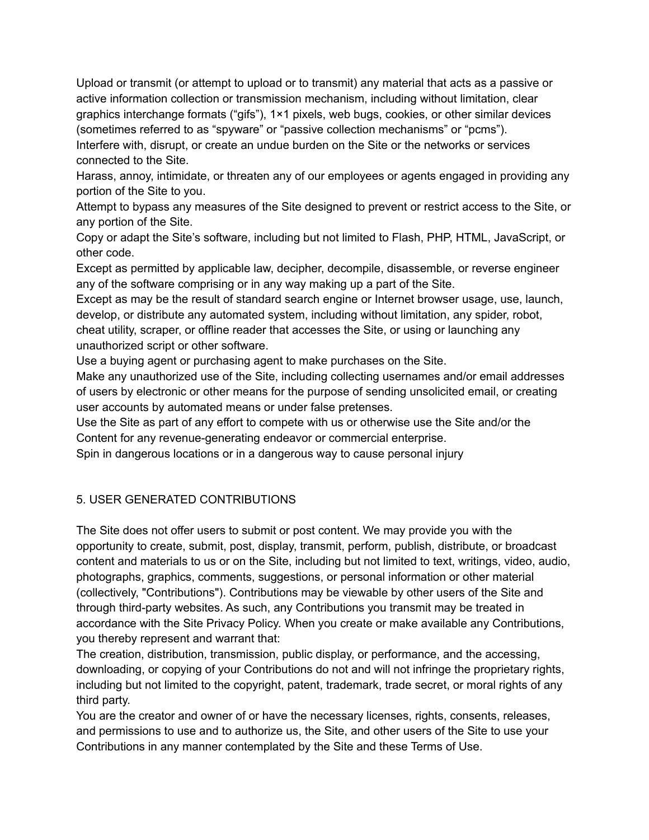Upload or transmit (or attempt to upload or to transmit) any material that acts as a passive or active information collection or transmission mechanism, including without limitation, clear graphics interchange formats ("gifs"), 1×1 pixels, web bugs, cookies, or other similar devices (sometimes referred to as "spyware" or "passive collection mechanisms" or "pcms"). Interfere with, disrupt, or create an undue burden on the Site or the networks or services connected to the Site.

Harass, annoy, intimidate, or threaten any of our employees or agents engaged in providing any portion of the Site to you.

Attempt to bypass any measures of the Site designed to prevent or restrict access to the Site, or any portion of the Site.

Copy or adapt the Site's software, including but not limited to Flash, PHP, HTML, JavaScript, or other code.

Except as permitted by applicable law, decipher, decompile, disassemble, or reverse engineer any of the software comprising or in any way making up a part of the Site.

Except as may be the result of standard search engine or Internet browser usage, use, launch, develop, or distribute any automated system, including without limitation, any spider, robot, cheat utility, scraper, or offline reader that accesses the Site, or using or launching any unauthorized script or other software.

Use a buying agent or purchasing agent to make purchases on the Site.

Make any unauthorized use of the Site, including collecting usernames and/or email addresses of users by electronic or other means for the purpose of sending unsolicited email, or creating user accounts by automated means or under false pretenses.

Use the Site as part of any effort to compete with us or otherwise use the Site and/or the Content for any revenue-generating endeavor or commercial enterprise.

Spin in dangerous locations or in a dangerous way to cause personal injury

# 5. USER GENERATED CONTRIBUTIONS

The Site does not offer users to submit or post content. We may provide you with the opportunity to create, submit, post, display, transmit, perform, publish, distribute, or broadcast content and materials to us or on the Site, including but not limited to text, writings, video, audio, photographs, graphics, comments, suggestions, or personal information or other material (collectively, "Contributions"). Contributions may be viewable by other users of the Site and through third-party websites. As such, any Contributions you transmit may be treated in accordance with the Site Privacy Policy. When you create or make available any Contributions, you thereby represent and warrant that:

The creation, distribution, transmission, public display, or performance, and the accessing, downloading, or copying of your Contributions do not and will not infringe the proprietary rights, including but not limited to the copyright, patent, trademark, trade secret, or moral rights of any third party.

You are the creator and owner of or have the necessary licenses, rights, consents, releases, and permissions to use and to authorize us, the Site, and other users of the Site to use your Contributions in any manner contemplated by the Site and these Terms of Use.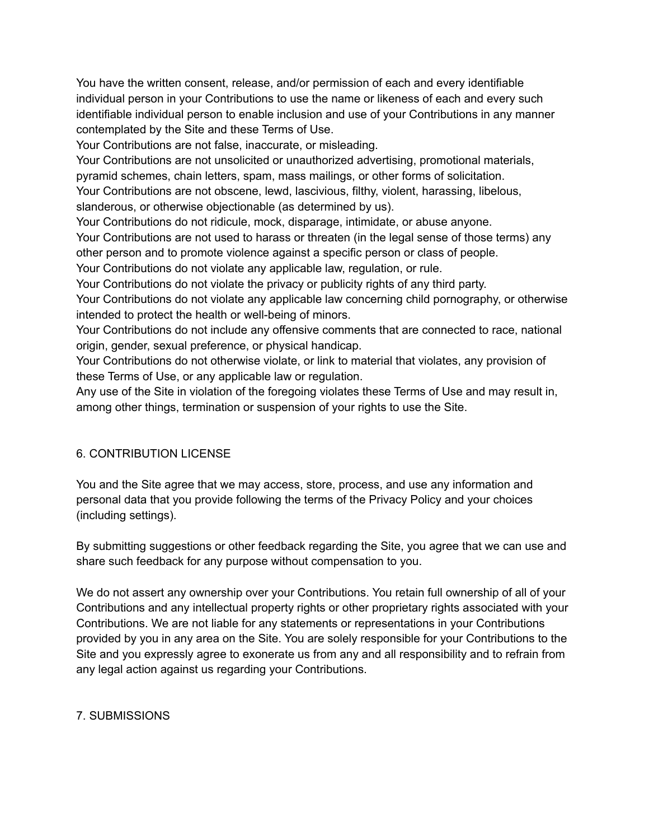You have the written consent, release, and/or permission of each and every identifiable individual person in your Contributions to use the name or likeness of each and every such identifiable individual person to enable inclusion and use of your Contributions in any manner contemplated by the Site and these Terms of Use.

Your Contributions are not false, inaccurate, or misleading.

Your Contributions are not unsolicited or unauthorized advertising, promotional materials, pyramid schemes, chain letters, spam, mass mailings, or other forms of solicitation.

Your Contributions are not obscene, lewd, lascivious, filthy, violent, harassing, libelous, slanderous, or otherwise objectionable (as determined by us).

Your Contributions do not ridicule, mock, disparage, intimidate, or abuse anyone.

Your Contributions are not used to harass or threaten (in the legal sense of those terms) any other person and to promote violence against a specific person or class of people.

Your Contributions do not violate any applicable law, regulation, or rule.

Your Contributions do not violate the privacy or publicity rights of any third party.

Your Contributions do not violate any applicable law concerning child pornography, or otherwise intended to protect the health or well-being of minors.

Your Contributions do not include any offensive comments that are connected to race, national origin, gender, sexual preference, or physical handicap.

Your Contributions do not otherwise violate, or link to material that violates, any provision of these Terms of Use, or any applicable law or regulation.

Any use of the Site in violation of the foregoing violates these Terms of Use and may result in, among other things, termination or suspension of your rights to use the Site.

### 6. CONTRIBUTION LICENSE

You and the Site agree that we may access, store, process, and use any information and personal data that you provide following the terms of the Privacy Policy and your choices (including settings).

By submitting suggestions or other feedback regarding the Site, you agree that we can use and share such feedback for any purpose without compensation to you.

We do not assert any ownership over your Contributions. You retain full ownership of all of your Contributions and any intellectual property rights or other proprietary rights associated with your Contributions. We are not liable for any statements or representations in your Contributions provided by you in any area on the Site. You are solely responsible for your Contributions to the Site and you expressly agree to exonerate us from any and all responsibility and to refrain from any legal action against us regarding your Contributions.

#### 7. SUBMISSIONS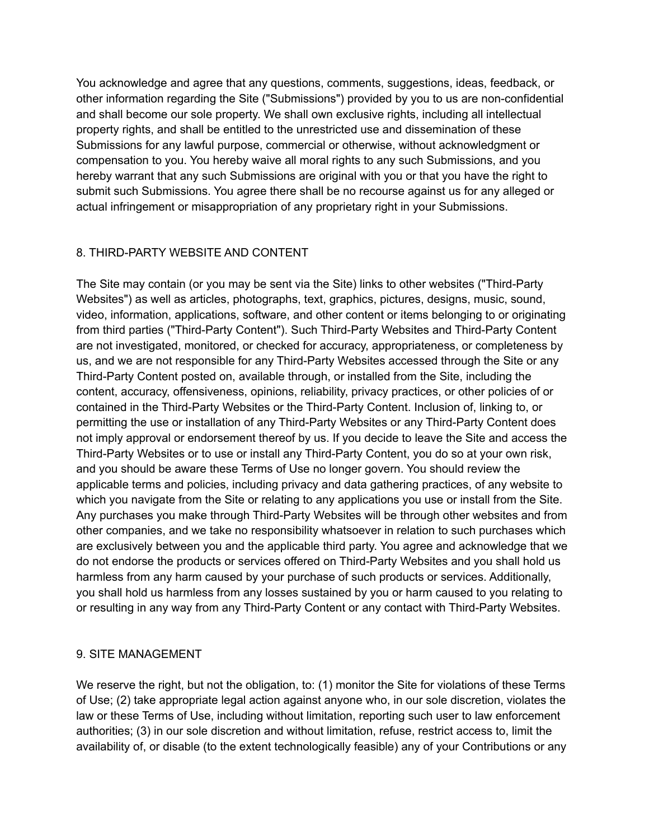You acknowledge and agree that any questions, comments, suggestions, ideas, feedback, or other information regarding the Site ("Submissions") provided by you to us are non-confidential and shall become our sole property. We shall own exclusive rights, including all intellectual property rights, and shall be entitled to the unrestricted use and dissemination of these Submissions for any lawful purpose, commercial or otherwise, without acknowledgment or compensation to you. You hereby waive all moral rights to any such Submissions, and you hereby warrant that any such Submissions are original with you or that you have the right to submit such Submissions. You agree there shall be no recourse against us for any alleged or actual infringement or misappropriation of any proprietary right in your Submissions.

### 8. THIRD-PARTY WEBSITE AND CONTENT

The Site may contain (or you may be sent via the Site) links to other websites ("Third-Party Websites") as well as articles, photographs, text, graphics, pictures, designs, music, sound, video, information, applications, software, and other content or items belonging to or originating from third parties ("Third-Party Content"). Such Third-Party Websites and Third-Party Content are not investigated, monitored, or checked for accuracy, appropriateness, or completeness by us, and we are not responsible for any Third-Party Websites accessed through the Site or any Third-Party Content posted on, available through, or installed from the Site, including the content, accuracy, offensiveness, opinions, reliability, privacy practices, or other policies of or contained in the Third-Party Websites or the Third-Party Content. Inclusion of, linking to, or permitting the use or installation of any Third-Party Websites or any Third-Party Content does not imply approval or endorsement thereof by us. If you decide to leave the Site and access the Third-Party Websites or to use or install any Third-Party Content, you do so at your own risk, and you should be aware these Terms of Use no longer govern. You should review the applicable terms and policies, including privacy and data gathering practices, of any website to which you navigate from the Site or relating to any applications you use or install from the Site. Any purchases you make through Third-Party Websites will be through other websites and from other companies, and we take no responsibility whatsoever in relation to such purchases which are exclusively between you and the applicable third party. You agree and acknowledge that we do not endorse the products or services offered on Third-Party Websites and you shall hold us harmless from any harm caused by your purchase of such products or services. Additionally, you shall hold us harmless from any losses sustained by you or harm caused to you relating to or resulting in any way from any Third-Party Content or any contact with Third-Party Websites.

### 9. SITE MANAGEMENT

We reserve the right, but not the obligation, to: (1) monitor the Site for violations of these Terms of Use; (2) take appropriate legal action against anyone who, in our sole discretion, violates the law or these Terms of Use, including without limitation, reporting such user to law enforcement authorities; (3) in our sole discretion and without limitation, refuse, restrict access to, limit the availability of, or disable (to the extent technologically feasible) any of your Contributions or any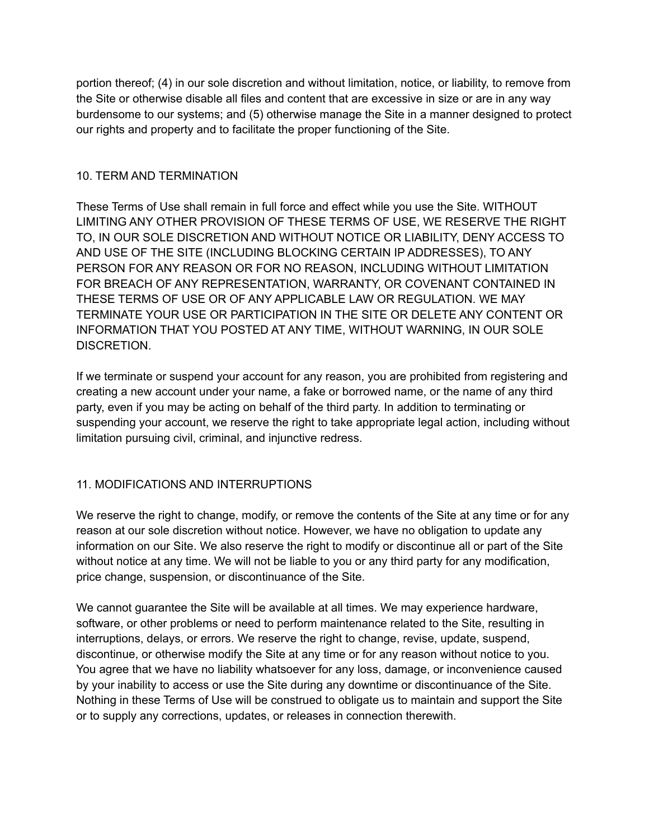portion thereof; (4) in our sole discretion and without limitation, notice, or liability, to remove from the Site or otherwise disable all files and content that are excessive in size or are in any way burdensome to our systems; and (5) otherwise manage the Site in a manner designed to protect our rights and property and to facilitate the proper functioning of the Site.

### 10. TERM AND TERMINATION

These Terms of Use shall remain in full force and effect while you use the Site. WITHOUT LIMITING ANY OTHER PROVISION OF THESE TERMS OF USE, WE RESERVE THE RIGHT TO, IN OUR SOLE DISCRETION AND WITHOUT NOTICE OR LIABILITY, DENY ACCESS TO AND USE OF THE SITE (INCLUDING BLOCKING CERTAIN IP ADDRESSES), TO ANY PERSON FOR ANY REASON OR FOR NO REASON, INCLUDING WITHOUT LIMITATION FOR BREACH OF ANY REPRESENTATION, WARRANTY, OR COVENANT CONTAINED IN THESE TERMS OF USE OR OF ANY APPLICABLE LAW OR REGULATION. WE MAY TERMINATE YOUR USE OR PARTICIPATION IN THE SITE OR DELETE ANY CONTENT OR INFORMATION THAT YOU POSTED AT ANY TIME, WITHOUT WARNING, IN OUR SOLE DISCRETION.

If we terminate or suspend your account for any reason, you are prohibited from registering and creating a new account under your name, a fake or borrowed name, or the name of any third party, even if you may be acting on behalf of the third party. In addition to terminating or suspending your account, we reserve the right to take appropriate legal action, including without limitation pursuing civil, criminal, and injunctive redress.

### 11. MODIFICATIONS AND INTERRUPTIONS

We reserve the right to change, modify, or remove the contents of the Site at any time or for any reason at our sole discretion without notice. However, we have no obligation to update any information on our Site. We also reserve the right to modify or discontinue all or part of the Site without notice at any time. We will not be liable to you or any third party for any modification, price change, suspension, or discontinuance of the Site.

We cannot guarantee the Site will be available at all times. We may experience hardware, software, or other problems or need to perform maintenance related to the Site, resulting in interruptions, delays, or errors. We reserve the right to change, revise, update, suspend, discontinue, or otherwise modify the Site at any time or for any reason without notice to you. You agree that we have no liability whatsoever for any loss, damage, or inconvenience caused by your inability to access or use the Site during any downtime or discontinuance of the Site. Nothing in these Terms of Use will be construed to obligate us to maintain and support the Site or to supply any corrections, updates, or releases in connection therewith.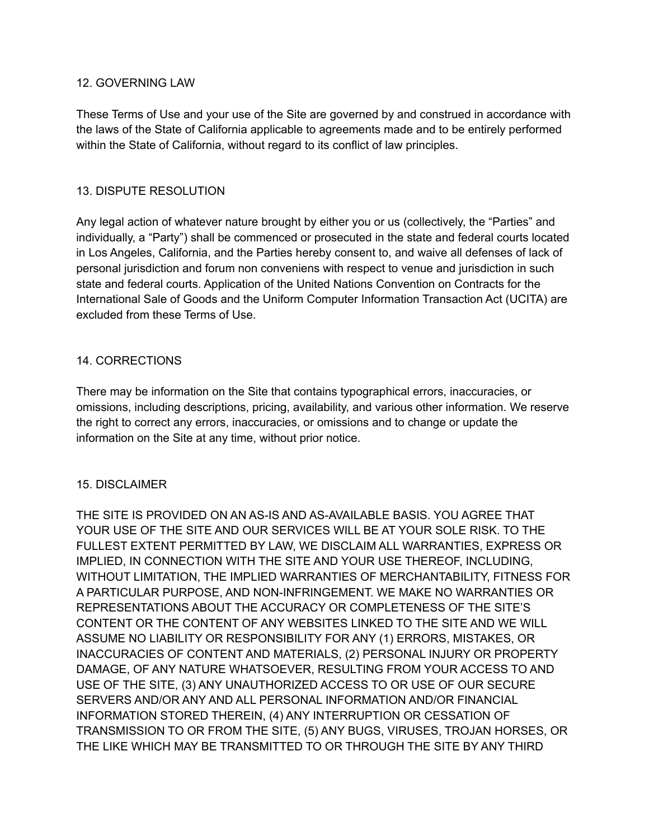#### 12. GOVERNING LAW

These Terms of Use and your use of the Site are governed by and construed in accordance with the laws of the State of California applicable to agreements made and to be entirely performed within the State of California, without regard to its conflict of law principles.

#### 13. DISPUTE RESOLUTION

Any legal action of whatever nature brought by either you or us (collectively, the "Parties" and individually, a "Party") shall be commenced or prosecuted in the state and federal courts located in Los Angeles, California, and the Parties hereby consent to, and waive all defenses of lack of personal jurisdiction and forum non conveniens with respect to venue and jurisdiction in such state and federal courts. Application of the United Nations Convention on Contracts for the International Sale of Goods and the Uniform Computer Information Transaction Act (UCITA) are excluded from these Terms of Use.

### 14. CORRECTIONS

There may be information on the Site that contains typographical errors, inaccuracies, or omissions, including descriptions, pricing, availability, and various other information. We reserve the right to correct any errors, inaccuracies, or omissions and to change or update the information on the Site at any time, without prior notice.

#### 15. DISCLAIMER

THE SITE IS PROVIDED ON AN AS-IS AND AS-AVAILABLE BASIS. YOU AGREE THAT YOUR USE OF THE SITE AND OUR SERVICES WILL BE AT YOUR SOLE RISK. TO THE FULLEST EXTENT PERMITTED BY LAW, WE DISCLAIM ALL WARRANTIES, EXPRESS OR IMPLIED, IN CONNECTION WITH THE SITE AND YOUR USE THEREOF, INCLUDING, WITHOUT LIMITATION, THE IMPLIED WARRANTIES OF MERCHANTABILITY, FITNESS FOR A PARTICULAR PURPOSE, AND NON-INFRINGEMENT. WE MAKE NO WARRANTIES OR REPRESENTATIONS ABOUT THE ACCURACY OR COMPLETENESS OF THE SITE'S CONTENT OR THE CONTENT OF ANY WEBSITES LINKED TO THE SITE AND WE WILL ASSUME NO LIABILITY OR RESPONSIBILITY FOR ANY (1) ERRORS, MISTAKES, OR INACCURACIES OF CONTENT AND MATERIALS, (2) PERSONAL INJURY OR PROPERTY DAMAGE, OF ANY NATURE WHATSOEVER, RESULTING FROM YOUR ACCESS TO AND USE OF THE SITE, (3) ANY UNAUTHORIZED ACCESS TO OR USE OF OUR SECURE SERVERS AND/OR ANY AND ALL PERSONAL INFORMATION AND/OR FINANCIAL INFORMATION STORED THEREIN, (4) ANY INTERRUPTION OR CESSATION OF TRANSMISSION TO OR FROM THE SITE, (5) ANY BUGS, VIRUSES, TROJAN HORSES, OR THE LIKE WHICH MAY BE TRANSMITTED TO OR THROUGH THE SITE BY ANY THIRD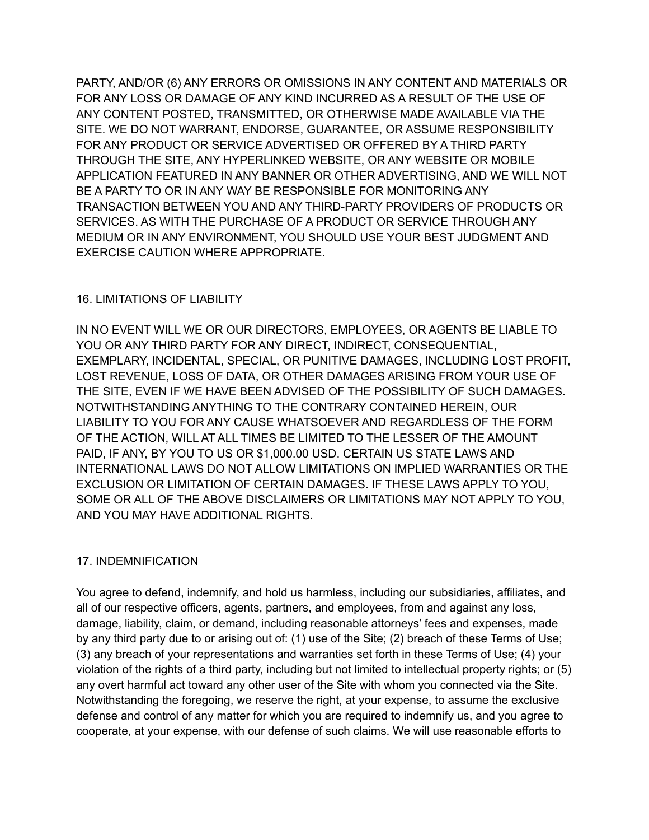PARTY, AND/OR (6) ANY ERRORS OR OMISSIONS IN ANY CONTENT AND MATERIALS OR FOR ANY LOSS OR DAMAGE OF ANY KIND INCURRED AS A RESULT OF THE USE OF ANY CONTENT POSTED, TRANSMITTED, OR OTHERWISE MADE AVAILABLE VIA THE SITE. WE DO NOT WARRANT, ENDORSE, GUARANTEE, OR ASSUME RESPONSIBILITY FOR ANY PRODUCT OR SERVICE ADVERTISED OR OFFERED BY A THIRD PARTY THROUGH THE SITE, ANY HYPERLINKED WEBSITE, OR ANY WEBSITE OR MOBILE APPLICATION FEATURED IN ANY BANNER OR OTHER ADVERTISING, AND WE WILL NOT BE A PARTY TO OR IN ANY WAY BE RESPONSIBLE FOR MONITORING ANY TRANSACTION BETWEEN YOU AND ANY THIRD-PARTY PROVIDERS OF PRODUCTS OR SERVICES. AS WITH THE PURCHASE OF A PRODUCT OR SERVICE THROUGH ANY MEDIUM OR IN ANY ENVIRONMENT, YOU SHOULD USE YOUR BEST JUDGMENT AND EXERCISE CAUTION WHERE APPROPRIATE.

### 16. LIMITATIONS OF LIABILITY

IN NO EVENT WILL WE OR OUR DIRECTORS, EMPLOYEES, OR AGENTS BE LIABLE TO YOU OR ANY THIRD PARTY FOR ANY DIRECT, INDIRECT, CONSEQUENTIAL, EXEMPLARY, INCIDENTAL, SPECIAL, OR PUNITIVE DAMAGES, INCLUDING LOST PROFIT, LOST REVENUE, LOSS OF DATA, OR OTHER DAMAGES ARISING FROM YOUR USE OF THE SITE, EVEN IF WE HAVE BEEN ADVISED OF THE POSSIBILITY OF SUCH DAMAGES. NOTWITHSTANDING ANYTHING TO THE CONTRARY CONTAINED HEREIN, OUR LIABILITY TO YOU FOR ANY CAUSE WHATSOEVER AND REGARDLESS OF THE FORM OF THE ACTION, WILL AT ALL TIMES BE LIMITED TO THE LESSER OF THE AMOUNT PAID, IF ANY, BY YOU TO US OR \$1,000.00 USD. CERTAIN US STATE LAWS AND INTERNATIONAL LAWS DO NOT ALLOW LIMITATIONS ON IMPLIED WARRANTIES OR THE EXCLUSION OR LIMITATION OF CERTAIN DAMAGES. IF THESE LAWS APPLY TO YOU, SOME OR ALL OF THE ABOVE DISCLAIMERS OR LIMITATIONS MAY NOT APPLY TO YOU, AND YOU MAY HAVE ADDITIONAL RIGHTS.

### 17. INDEMNIFICATION

You agree to defend, indemnify, and hold us harmless, including our subsidiaries, affiliates, and all of our respective officers, agents, partners, and employees, from and against any loss, damage, liability, claim, or demand, including reasonable attorneys' fees and expenses, made by any third party due to or arising out of: (1) use of the Site; (2) breach of these Terms of Use; (3) any breach of your representations and warranties set forth in these Terms of Use; (4) your violation of the rights of a third party, including but not limited to intellectual property rights; or (5) any overt harmful act toward any other user of the Site with whom you connected via the Site. Notwithstanding the foregoing, we reserve the right, at your expense, to assume the exclusive defense and control of any matter for which you are required to indemnify us, and you agree to cooperate, at your expense, with our defense of such claims. We will use reasonable efforts to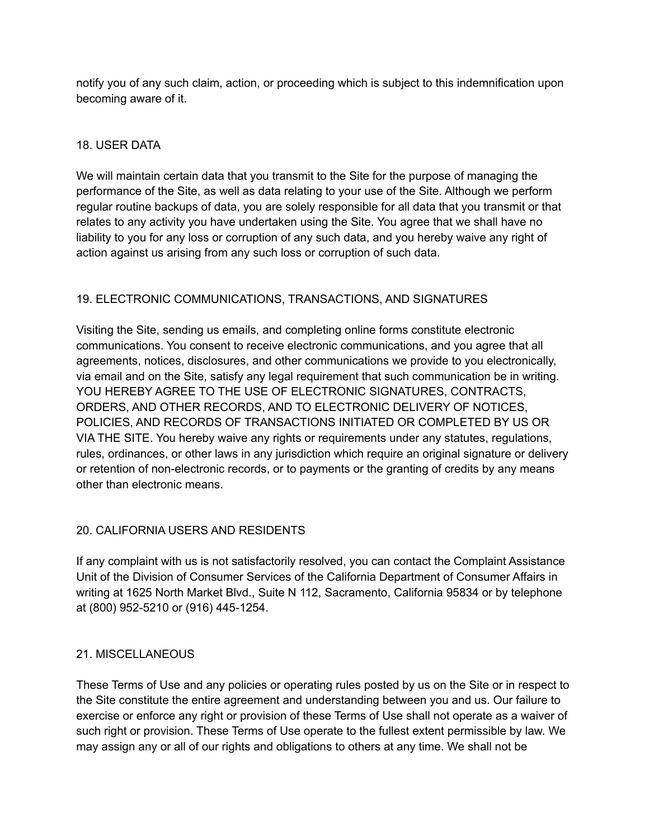notify you of any such claim, action, or proceeding which is subject to this indemnification upon becoming aware of it.

## 18. USER DATA

We will maintain certain data that you transmit to the Site for the purpose of managing the performance of the Site, as well as data relating to your use of the Site. Although we perform regular routine backups of data, you are solely responsible for all data that you transmit or that relates to any activity you have undertaken using the Site. You agree that we shall have no liability to you for any loss or corruption of any such data, and you hereby waive any right of action against us arising from any such loss or corruption of such data.

# 19. ELECTRONIC COMMUNICATIONS, TRANSACTIONS, AND SIGNATURES

Visiting the Site, sending us emails, and completing online forms constitute electronic communications. You consent to receive electronic communications, and you agree that all agreements, notices, disclosures, and other communications we provide to you electronically, via email and on the Site, satisfy any legal requirement that such communication be in writing. YOU HEREBY AGREE TO THE USE OF ELECTRONIC SIGNATURES, CONTRACTS, ORDERS, AND OTHER RECORDS, AND TO ELECTRONIC DELIVERY OF NOTICES, POLICIES, AND RECORDS OF TRANSACTIONS INITIATED OR COMPLETED BY US OR VIA THE SITE. You hereby waive any rights or requirements under any statutes, regulations, rules, ordinances, or other laws in any jurisdiction which require an original signature or delivery or retention of non-electronic records, or to payments or the granting of credits by any means other than electronic means.

### 20. CALIFORNIA USERS AND RESIDENTS

If any complaint with us is not satisfactorily resolved, you can contact the Complaint Assistance Unit of the Division of Consumer Services of the California Department of Consumer Affairs in writing at 1625 North Market Blvd., Suite N 112, Sacramento, California 95834 or by telephone at (800) 952-5210 or (916) 445-1254.

### 21. MISCELLANEOUS

These Terms of Use and any policies or operating rules posted by us on the Site or in respect to the Site constitute the entire agreement and understanding between you and us. Our failure to exercise or enforce any right or provision of these Terms of Use shall not operate as a waiver of such right or provision. These Terms of Use operate to the fullest extent permissible by law. We may assign any or all of our rights and obligations to others at any time. We shall not be